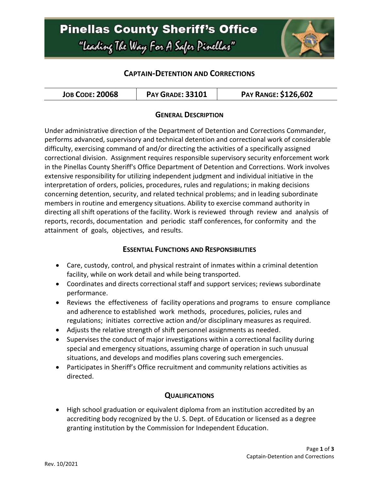## **Pinellas County Sheriff's Office** "Leading The Way For A Safer Pinellar"



### **CAPTAIN-DETENTION AND CORRECTIONS**

| <b>JOB CODE: 20068</b> | <b>PAY GRADE: 33101</b> | <b>PAY RANGE: \$126,602</b> |
|------------------------|-------------------------|-----------------------------|
|------------------------|-------------------------|-----------------------------|

#### **GENERAL DESCRIPTION**

Under administrative direction of the Department of Detention and Corrections Commander, performs advanced, supervisory and technical detention and correctional work of considerable difficulty, exercising command of and/or directing the activities of a specifically assigned correctional division. Assignment requires responsible supervisory security enforcement work in the Pinellas County Sheriff's Office Department of Detention and Corrections. Work involves extensive responsibility for utilizing independent judgment and individual initiative in the interpretation of orders, policies, procedures, rules and regulations; in making decisions concerning detention, security, and related technical problems; and in leading subordinate members in routine and emergency situations. Ability to exercise command authority in directing all shift operations of the facility. Work is reviewed through review and analysis of reports, records, documentation and periodic staff conferences, for conformity and the attainment of goals, objectives, and results.

#### **ESSENTIAL FUNCTIONS AND RESPONSIBILITIES**

- Care, custody, control, and physical restraint of inmates within a criminal detention facility, while on work detail and while being transported.
- Coordinates and directs correctional staff and support services; reviews subordinate performance.
- Reviews the effectiveness of facility operations and programs to ensure compliance and adherence to established work methods, procedures, policies, rules and regulations; initiates corrective action and/or disciplinary measures as required.
- Adjusts the relative strength of shift personnel assignments as needed.
- Supervises the conduct of major investigations within a correctional facility during special and emergency situations, assuming charge of operation in such unusual situations, and develops and modifies plans covering such emergencies.
- Participates in Sheriff's Office recruitment and community relations activities as directed.

#### **QUALIFICATIONS**

 High school graduation or equivalent diploma from an institution accredited by an accrediting body recognized by the U. S. Dept. of Education or licensed as a degree granting institution by the Commission for Independent Education.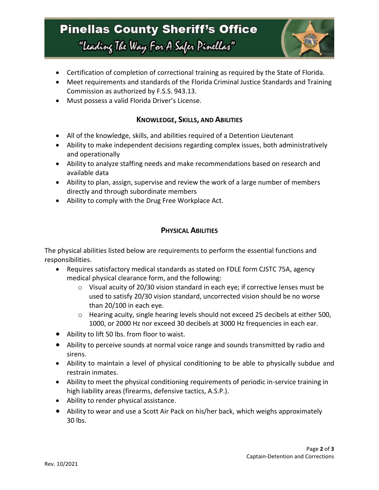# **Pinellas County Sheriff's Office** "Leading The Way For A Safer Pinellar"



- Certification of completion of correctional training as required by the State of Florida.
- Meet requirements and standards of the Florida Criminal Justice Standards and Training Commission as authorized by F.S.S. 943.13.
- Must possess a valid Florida Driver's License.

#### **KNOWLEDGE, SKILLS, AND ABILITIES**

- All of the knowledge, skills, and abilities required of a Detention Lieutenant
- Ability to make independent decisions regarding complex issues, both administratively and operationally
- Ability to analyze staffing needs and make recommendations based on research and available data
- Ability to plan, assign, supervise and review the work of a large number of members directly and through subordinate members
- Ability to comply with the Drug Free Workplace Act.

### **PHYSICAL ABILITIES**

The physical abilities listed below are requirements to perform the essential functions and responsibilities.

- Requires satisfactory medical standards as stated on FDLE form CJSTC 75A, agency medical physical clearance form, and the following:
	- $\circ$  Visual acuity of 20/30 vision standard in each eye; if corrective lenses must be used to satisfy 20/30 vision standard, uncorrected vision should be no worse than 20/100 in each eye.
	- $\circ$  Hearing acuity, single hearing levels should not exceed 25 decibels at either 500, 1000, or 2000 Hz nor exceed 30 decibels at 3000 Hz frequencies in each ear.
- Ability to lift 50 lbs. from floor to waist.
- Ability to perceive sounds at normal voice range and sounds transmitted by radio and sirens.
- Ability to maintain a level of physical conditioning to be able to physically subdue and restrain inmates.
- Ability to meet the physical conditioning requirements of periodic in-service training in high liability areas (firearms, defensive tactics, A.S.P.).
- Ability to render physical assistance.
- Ability to wear and use a Scott Air Pack on his/her back, which weighs approximately 30 lbs.